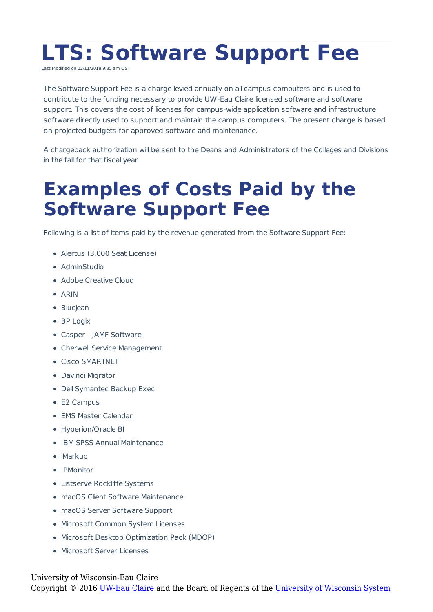## **LTS: Software Support Fee**

Last Modified on 12/11/2018 9:35 am CST

The Software Support Fee is a charge levied annually on all campus computers and is used to contribute to the funding necessary to provide UW-Eau Claire licensed software and software support. This covers the cost of licenses for campus-wide application software and infrastructure software directly used to support and maintain the campus computers. The present charge is based on projected budgets for approved software and maintenance.

A chargeback authorization will be sent to the Deans and Administrators of the Colleges and Divisions in the fall for that fiscal year.

## **Examples of Costs Paid by the Software Support Fee**

Following is a list of items paid by the revenue generated from the Software Support Fee:

- Alertus (3,000 Seat License)
- AdminStudio
- Adobe Creative Cloud
- ARIN
- Bluejean
- BP Logix
- Casper JAMF Software
- Cherwell Service Management
- Cisco SMARTNET
- Davinci Migrator
- Dell Symantec Backup Exec
- E2 Campus
- EMS Master Calendar
- Hyperion/Oracle BI
- IBM SPSS Annual Maintenance
- iMarkup
- IPMonitor
- Listserve Rockliffe Systems
- macOS Client Software Maintenance
- macOS Server Software Support
- Microsoft Common System Licenses
- Microsoft Desktop Optimization Pack (MDOP)
- Microsoft Server Licenses